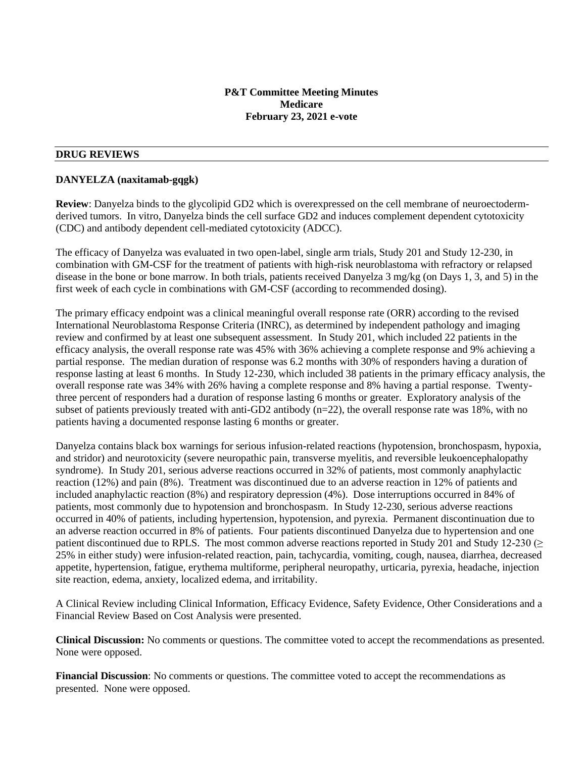## **P&T Committee Meeting Minutes Medicare February 23, 2021 e-vote**

#### **DRUG REVIEWS**

#### **DANYELZA (naxitamab-gqgk)**

**Review**: Danyelza binds to the glycolipid GD2 which is overexpressed on the cell membrane of neuroectodermderived tumors. In vitro, Danyelza binds the cell surface GD2 and induces complement dependent cytotoxicity (CDC) and antibody dependent cell-mediated cytotoxicity (ADCC).

The efficacy of Danyelza was evaluated in two open-label, single arm trials, Study 201 and Study 12-230, in combination with GM-CSF for the treatment of patients with high-risk neuroblastoma with refractory or relapsed disease in the bone or bone marrow. In both trials, patients received Danyelza 3 mg/kg (on Days 1, 3, and 5) in the first week of each cycle in combinations with GM-CSF (according to recommended dosing).

The primary efficacy endpoint was a clinical meaningful overall response rate (ORR) according to the revised International Neuroblastoma Response Criteria (INRC), as determined by independent pathology and imaging review and confirmed by at least one subsequent assessment. In Study 201, which included 22 patients in the efficacy analysis, the overall response rate was 45% with 36% achieving a complete response and 9% achieving a partial response. The median duration of response was 6.2 months with 30% of responders having a duration of response lasting at least 6 months. In Study 12-230, which included 38 patients in the primary efficacy analysis, the overall response rate was 34% with 26% having a complete response and 8% having a partial response. Twentythree percent of responders had a duration of response lasting 6 months or greater. Exploratory analysis of the subset of patients previously treated with anti-GD2 antibody (n=22), the overall response rate was 18%, with no patients having a documented response lasting 6 months or greater.

Danyelza contains black box warnings for serious infusion-related reactions (hypotension, bronchospasm, hypoxia, and stridor) and neurotoxicity (severe neuropathic pain, transverse myelitis, and reversible leukoencephalopathy syndrome). In Study 201, serious adverse reactions occurred in 32% of patients, most commonly anaphylactic reaction (12%) and pain (8%). Treatment was discontinued due to an adverse reaction in 12% of patients and included anaphylactic reaction (8%) and respiratory depression (4%). Dose interruptions occurred in 84% of patients, most commonly due to hypotension and bronchospasm. In Study 12-230, serious adverse reactions occurred in 40% of patients, including hypertension, hypotension, and pyrexia. Permanent discontinuation due to an adverse reaction occurred in 8% of patients. Four patients discontinued Danyelza due to hypertension and one patient discontinued due to RPLS. The most common adverse reactions reported in Study 201 and Study 12-230 (> 25% in either study) were infusion-related reaction, pain, tachycardia, vomiting, cough, nausea, diarrhea, decreased appetite, hypertension, fatigue, erythema multiforme, peripheral neuropathy, urticaria, pyrexia, headache, injection site reaction, edema, anxiety, localized edema, and irritability.

A Clinical Review including Clinical Information, Efficacy Evidence, Safety Evidence, Other Considerations and a Financial Review Based on Cost Analysis were presented.

**Clinical Discussion:** No comments or questions. The committee voted to accept the recommendations as presented. None were opposed.

**Financial Discussion**: No comments or questions. The committee voted to accept the recommendations as presented. None were opposed.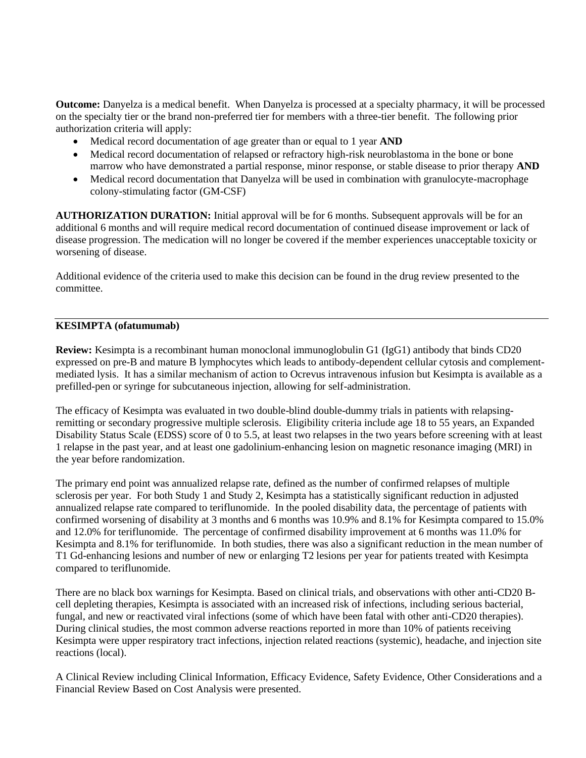**Outcome:** Danyelza is a medical benefit. When Danyelza is processed at a specialty pharmacy, it will be processed on the specialty tier or the brand non-preferred tier for members with a three-tier benefit. The following prior authorization criteria will apply:

- Medical record documentation of age greater than or equal to 1 year **AND**
- Medical record documentation of relapsed or refractory high-risk neuroblastoma in the bone or bone marrow who have demonstrated a partial response, minor response, or stable disease to prior therapy **AND**
- Medical record documentation that Danyelza will be used in combination with granulocyte-macrophage colony-stimulating factor (GM-CSF)

**AUTHORIZATION DURATION:** Initial approval will be for 6 months. Subsequent approvals will be for an additional 6 months and will require medical record documentation of continued disease improvement or lack of disease progression. The medication will no longer be covered if the member experiences unacceptable toxicity or worsening of disease.

Additional evidence of the criteria used to make this decision can be found in the drug review presented to the committee.

### **KESIMPTA (ofatumumab)**

**Review:** Kesimpta is a recombinant human monoclonal immunoglobulin G1 (IgG1) antibody that binds CD20 expressed on pre-B and mature B lymphocytes which leads to antibody-dependent cellular cytosis and complementmediated lysis. It has a similar mechanism of action to Ocrevus intravenous infusion but Kesimpta is available as a prefilled-pen or syringe for subcutaneous injection, allowing for self-administration.

The efficacy of Kesimpta was evaluated in two double-blind double-dummy trials in patients with relapsingremitting or secondary progressive multiple sclerosis. Eligibility criteria include age 18 to 55 years, an Expanded Disability Status Scale (EDSS) score of 0 to 5.5, at least two relapses in the two years before screening with at least 1 relapse in the past year, and at least one gadolinium-enhancing lesion on magnetic resonance imaging (MRI) in the year before randomization.

The primary end point was annualized relapse rate, defined as the number of confirmed relapses of multiple sclerosis per year. For both Study 1 and Study 2, Kesimpta has a statistically significant reduction in adjusted annualized relapse rate compared to teriflunomide. In the pooled disability data, the percentage of patients with confirmed worsening of disability at 3 months and 6 months was 10.9% and 8.1% for Kesimpta compared to 15.0% and 12.0% for teriflunomide. The percentage of confirmed disability improvement at 6 months was 11.0% for Kesimpta and 8.1% for teriflunomide. In both studies, there was also a significant reduction in the mean number of T1 Gd-enhancing lesions and number of new or enlarging T2 lesions per year for patients treated with Kesimpta compared to teriflunomide.

There are no black box warnings for Kesimpta. Based on clinical trials, and observations with other anti-CD20 Bcell depleting therapies, Kesimpta is associated with an increased risk of infections, including serious bacterial, fungal, and new or reactivated viral infections (some of which have been fatal with other anti-CD20 therapies). During clinical studies, the most common adverse reactions reported in more than 10% of patients receiving Kesimpta were upper respiratory tract infections, injection related reactions (systemic), headache, and injection site reactions (local).

A Clinical Review including Clinical Information, Efficacy Evidence, Safety Evidence, Other Considerations and a Financial Review Based on Cost Analysis were presented.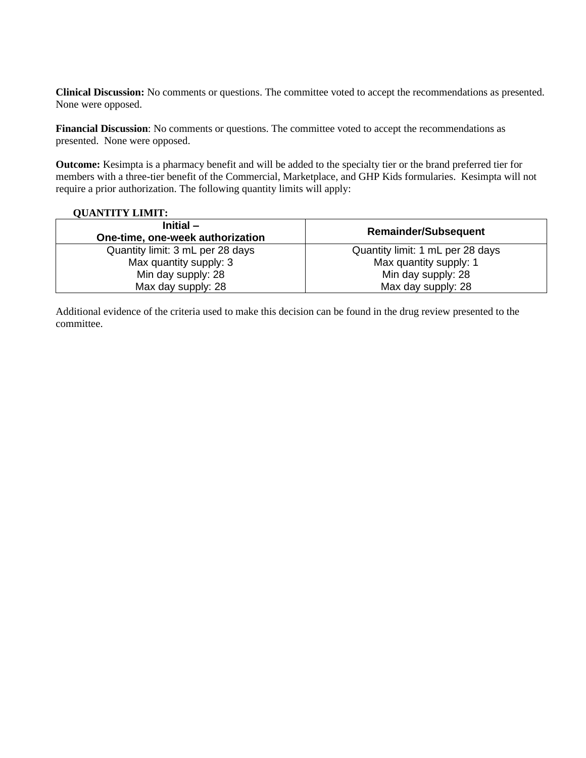**Clinical Discussion:** No comments or questions. The committee voted to accept the recommendations as presented. None were opposed.

**Financial Discussion**: No comments or questions. The committee voted to accept the recommendations as presented. None were opposed.

**Outcome:** Kesimpta is a pharmacy benefit and will be added to the specialty tier or the brand preferred tier for members with a three-tier benefit of the Commercial, Marketplace, and GHP Kids formularies. Kesimpta will not require a prior authorization. The following quantity limits will apply:

### **QUANTITY LIMIT:**

| Initial $-$<br>One-time, one-week authorization | <b>Remainder/Subsequent</b>      |
|-------------------------------------------------|----------------------------------|
| Quantity limit: 3 mL per 28 days                | Quantity limit: 1 mL per 28 days |
| Max quantity supply: 3                          | Max quantity supply: 1           |
| Min day supply: 28                              | Min day supply: 28               |
| Max day supply: 28                              | Max day supply: 28               |

Additional evidence of the criteria used to make this decision can be found in the drug review presented to the committee.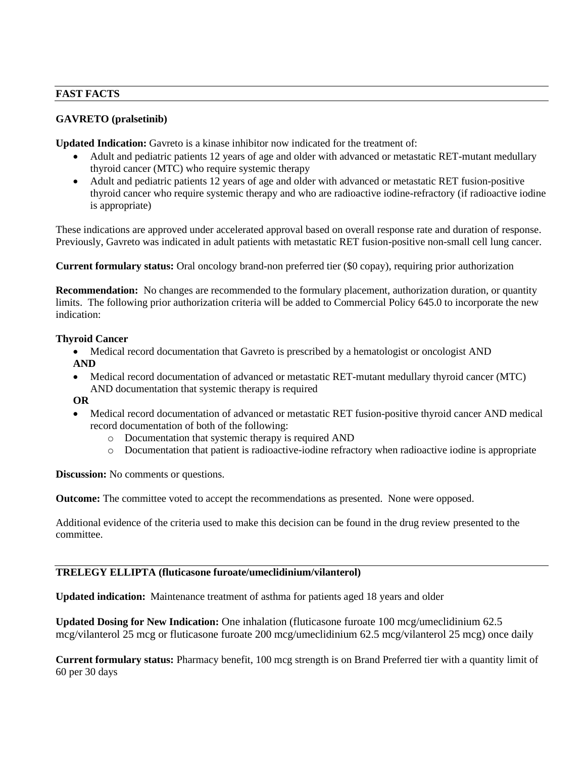# **FAST FACTS**

# **GAVRETO (pralsetinib)**

**Updated Indication:** Gavreto is a kinase inhibitor now indicated for the treatment of:

- Adult and pediatric patients 12 years of age and older with advanced or metastatic RET-mutant medullary thyroid cancer (MTC) who require systemic therapy
- Adult and pediatric patients 12 years of age and older with advanced or metastatic RET fusion-positive thyroid cancer who require systemic therapy and who are radioactive iodine-refractory (if radioactive iodine is appropriate)

These indications are approved under accelerated approval based on overall response rate and duration of response. Previously, Gavreto was indicated in adult patients with metastatic RET fusion-positive non-small cell lung cancer.

**Current formulary status:** Oral oncology brand-non preferred tier (\$0 copay), requiring prior authorization

**Recommendation:** No changes are recommended to the formulary placement, authorization duration, or quantity limits. The following prior authorization criteria will be added to Commercial Policy 645.0 to incorporate the new indication:

# **Thyroid Cancer**

• Medical record documentation that Gavreto is prescribed by a hematologist or oncologist AND **AND**

- Medical record documentation of advanced or metastatic RET-mutant medullary thyroid cancer (MTC) AND documentation that systemic therapy is required
- **OR**
- Medical record documentation of advanced or metastatic RET fusion-positive thyroid cancer AND medical record documentation of both of the following:
	- o Documentation that systemic therapy is required AND
	- o Documentation that patient is radioactive-iodine refractory when radioactive iodine is appropriate

**Discussion:** No comments or questions.

**Outcome:** The committee voted to accept the recommendations as presented. None were opposed.

Additional evidence of the criteria used to make this decision can be found in the drug review presented to the committee.

# **TRELEGY ELLIPTA (fluticasone furoate/umeclidinium/vilanterol)**

**Updated indication:** Maintenance treatment of asthma for patients aged 18 years and older

**Updated Dosing for New Indication:** One inhalation (fluticasone furoate 100 mcg/umeclidinium 62.5 mcg/vilanterol 25 mcg or fluticasone furoate 200 mcg/umeclidinium 62.5 mcg/vilanterol 25 mcg) once daily

**Current formulary status:** Pharmacy benefit, 100 mcg strength is on Brand Preferred tier with a quantity limit of 60 per 30 days